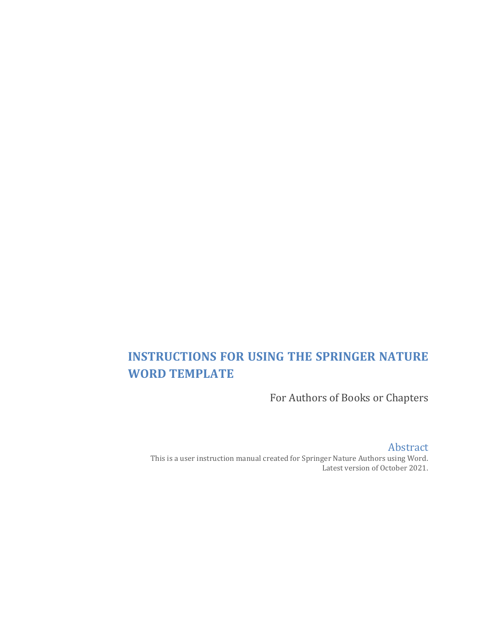# **INSTRUCTIONS FOR USING THE SPRINGER NATURE WORD TEMPLATE**

For Authors of Books or Chapters

Abstract This is a user instruction manual created for Springer Nature Authors using Word. Latest version of October 2021.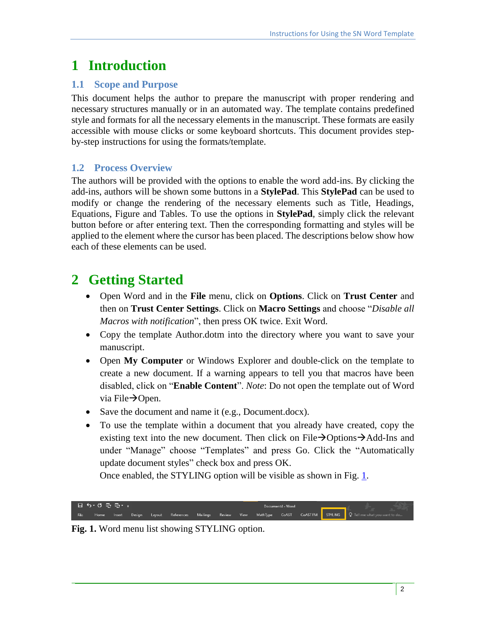# <span id="page-1-0"></span>**1 Introduction**

## **1.1 Scope and Purpose**

This document helps the author to prepare the manuscript with proper rendering and necessary structures manually or in an automated way. The template contains predefined style and formats for all the necessary elements in the manuscript. These formats are easily accessible with mouse clicks or some keyboard shortcuts. This document provides stepby-step instructions for using the formats/template.

## **1.2 Process Overview**

The authors will be provided with the options to enable the word add-ins. By clicking the add-ins, authors will be shown some buttons in a **StylePad**. This **StylePad** can be used to modify or change the rendering of the necessary elements such as Title, Headings, Equations, Figure and Tables. To use the options in **StylePad**, simply click the relevant button before or after entering text. Then the corresponding formatting and styles will be applied to the element where the cursor has been placed. The descriptions below show how each of these elements can be used.

# **2 Getting Started**

- Open Word and in the **File** menu, click on **Options**. Click on **Trust Center** and then on **Trust Center Settings**. Click on **Macro Settings** and choose "*Disable all Macros with notification*", then press OK twice. Exit Word.
- Copy the template Author.dotm into the directory where you want to save your manuscript.
- Open **My Computer** or Windows Explorer and double-click on the template to create a new document. If a warning appears to tell you that macros have been disabled, click on "**Enable Content**". *Note*: Do not open the template out of Word via File $\rightarrow$ Open.
- Save the document and name it (e.g., Document.docx).
- To use the template within a document that you already have created, copy the existing text into the new document. Then click on File $\rightarrow$ Options $\rightarrow$ Add-Ins and under "Manage" choose "Templates" and press Go. Click the "Automatically update document styles" check box and press OK.

Once enabled, the STYLING option will be visible as shown in Fig. [1.](#page-1-0)



**Fig. 1.** Word menu list showing STYLING option.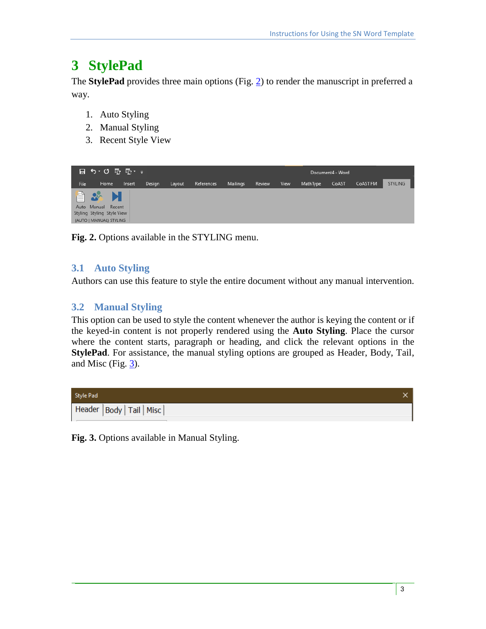# <span id="page-2-0"></span>**3 StylePad**

The **StylePad** provides three main options (Fig. [2\)](#page-2-0) to render the manuscript in preferred a way.

- 1. Auto Styling
- 2. Manual Styling
- 3. Recent Style View



**Fig. 2.** Options available in the STYLING menu.

## **3.1 Auto Styling**

Authors can use this feature to style the entire document without any manual intervention.

## **3.2 Manual Styling**

This option can be used to style the content whenever the author is keying the content or if the keyed-in content is not properly rendered using the **Auto Styling**. Place the cursor where the content starts, paragraph or heading, and click the relevant options in the **StylePad**. For assistance, the manual styling options are grouped as Header, Body, Tail, and Misc (Fig. [3\)](#page-2-1).



<span id="page-2-1"></span>**Fig. 3.** Options available in Manual Styling.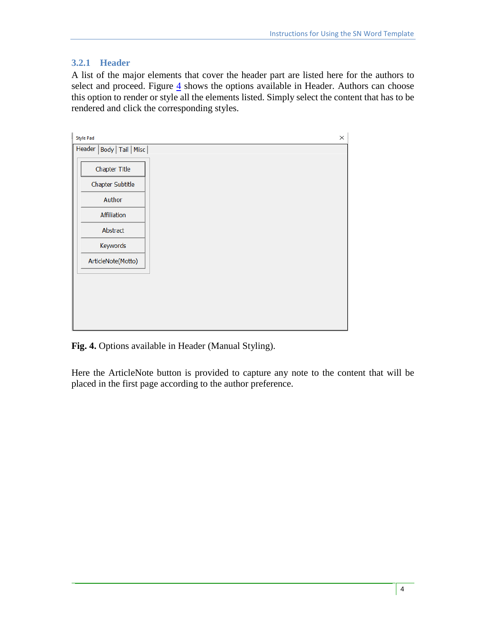#### **3.2.1 Header**

A list of the major elements that cover the header part are listed here for the authors to select and proceed. Figure  $\frac{4}{5}$  shows the options available in Header. Authors can choose this option to render or style all the elements listed. Simply select the content that has to be rendered and click the corresponding styles.

| <b>Style Pad</b>            | X |
|-----------------------------|---|
| Header   Body   Tail   Misc |   |
| <b>Chapter Title</b>        |   |
| Chapter Subtitle            |   |
| Author                      |   |
| Affiliation                 |   |
| Abstract                    |   |
| Keywords                    |   |
| ArticleNote(Motto)          |   |
|                             |   |
|                             |   |
|                             |   |
|                             |   |

<span id="page-3-0"></span>**Fig. 4.** Options available in Header (Manual Styling).

Here the ArticleNote button is provided to capture any note to the content that will be placed in the first page according to the author preference.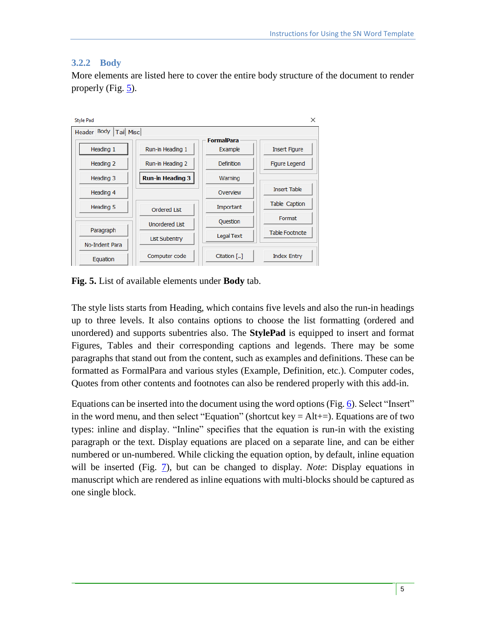### **3.2.2 Body**

Equation



More elements are listed here to cover the entire body structure of the document to render properly (Fig. [5\)](#page-4-0).

<span id="page-4-0"></span>**Fig. 5.** List of available elements under **Body** tab.

Computer code

The style lists starts from Heading, which contains five levels and also the run-in headings up to three levels. It also contains options to choose the list formatting (ordered and unordered) and supports subentries also. The **StylePad** is equipped to insert and format Figures, Tables and their corresponding captions and legends. There may be some paragraphs that stand out from the content, such as examples and definitions. These can be formatted as FormalPara and various styles (Example, Definition, etc.). Computer codes, Quotes from other contents and footnotes can also be rendered properly with this add-in.

Citation [..]

**Index Entry** 

Equations can be inserted into the document using the word options (Fig. [6\)](#page-5-0). Select "Insert" in the word menu, and then select "Equation" (shortcut key  $=$  Alt $+$  $=$ ). Equations are of two types: inline and display. "Inline" specifies that the equation is run-in with the existing paragraph or the text. Display equations are placed on a separate line, and can be either numbered or un-numbered. While clicking the equation option, by default, inline equation will be inserted (Fig. [7\)](#page-5-1), but can be changed to display. *Note*: Display equations in manuscript which are rendered as inline equations with multi-blocks should be captured as one single block.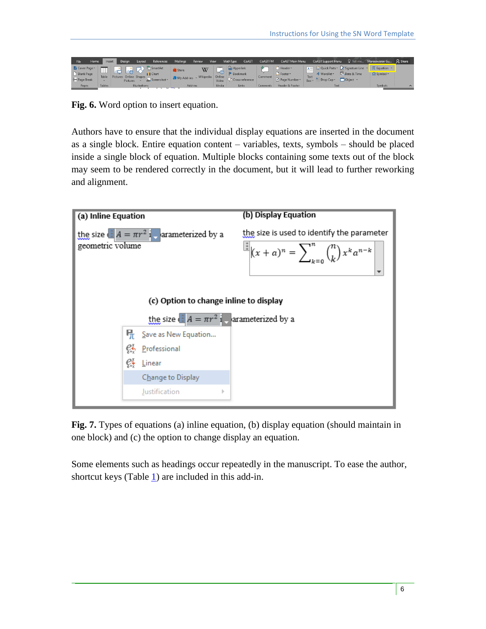| File                     | Home   | References<br>Design<br>Layout<br>Insert                                                                                                                                                        | Mailings<br>Review                                                             | View           | CoAST<br>MathType              | CoAST FM | CoAST Main Menu                       | CoAST Support Menu Q Tell me Mareeswaran Gu Q. Share                                                                                                 |                        |  |
|--------------------------|--------|-------------------------------------------------------------------------------------------------------------------------------------------------------------------------------------------------|--------------------------------------------------------------------------------|----------------|--------------------------------|----------|---------------------------------------|------------------------------------------------------------------------------------------------------------------------------------------------------|------------------------|--|
| Blank Page<br>Page Break | Table  | $\begin{array}{ c c c }\n\hline\n\vdots & \vdots & \vdots \\ \hline\n\vdots & \vdots & \vdots \\ \hline\n\end{array}$<br>Cover Page * The Town<br>I Chart<br>Pictures Online Shapes<br>Pictures | W<br>Store<br>of Screenshot > My Add-ins - Wikipedia Online DJ Cross-reference | passage.<br>₩≞ | <b>B</b> Hyperlink<br>Bookmark | Comment  | Header -<br>Footer *<br>Page Number - | A   Quick Parts * Signature Line *   TL Equation *<br>Date & Time<br>4 WordArt *<br>$R_{\text{ov}} \times$ $\triangle$ Drop Cap $\sim$ Object $\sim$ | $\Omega$ Symbol $\sim$ |  |
| Pages                    | Tables | <b>Illustrations</b>                                                                                                                                                                            | Add-ins                                                                        | Media          | Links                          | Comments | Header & Footer                       | Text                                                                                                                                                 | Symbols                |  |

<span id="page-5-0"></span>**Fig. 6.** Word option to insert equation.

Authors have to ensure that the individual display equations are inserted in the document as a single block. Entire equation content – variables, texts, symbols – should be placed inside a single block of equation. Multiple blocks containing some texts out of the block may seem to be rendered correctly in the document, but it will lead to further reworking and alignment.



<span id="page-5-1"></span>**Fig. 7.** Types of equations (a) inline equation, (b) display equation (should maintain in one block) and (c) the option to change display an equation.

Some elements such as headings occur repeatedly in the manuscript. To ease the author, shortcut keys (Table [1\)](#page-6-0) are included in this add-in.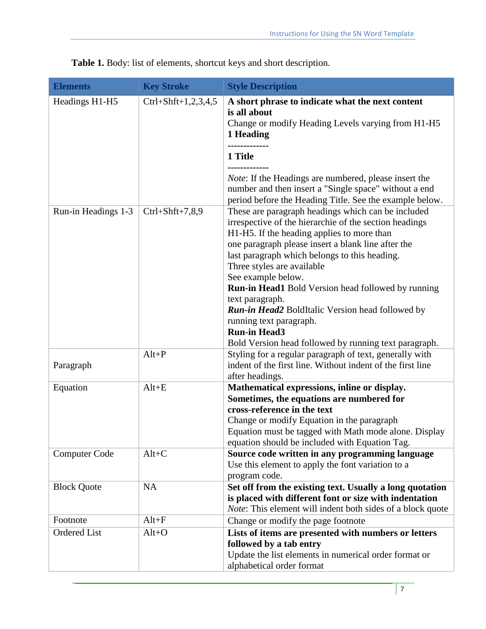| <b>Elements</b>      | <b>Key Stroke</b>      | <b>Style Description</b>                                                                                                                                                                                                                                                                                                                                                                                                                                                                                           |
|----------------------|------------------------|--------------------------------------------------------------------------------------------------------------------------------------------------------------------------------------------------------------------------------------------------------------------------------------------------------------------------------------------------------------------------------------------------------------------------------------------------------------------------------------------------------------------|
| Headings H1-H5       | Ctrl+Shft+1,2,3,4,5    | A short phrase to indicate what the next content<br>is all about<br>Change or modify Heading Levels varying from H1-H5<br>1 Heading                                                                                                                                                                                                                                                                                                                                                                                |
|                      |                        | 1 Title                                                                                                                                                                                                                                                                                                                                                                                                                                                                                                            |
|                      |                        | <i>Note:</i> If the Headings are numbered, please insert the<br>number and then insert a "Single space" without a end<br>period before the Heading Title. See the example below.                                                                                                                                                                                                                                                                                                                                   |
| Run-in Headings 1-3  | $Ctrl + Shift + 7,8,9$ | These are paragraph headings which can be included<br>irrespective of the hierarchie of the section headings<br>H1-H5. If the heading applies to more than<br>one paragraph please insert a blank line after the<br>last paragraph which belongs to this heading.<br>Three styles are available<br>See example below.<br><b>Run-in Head1</b> Bold Version head followed by running<br>text paragraph.<br><b>Run-in Head2</b> BoldItalic Version head followed by<br>running text paragraph.<br><b>Run-in Head3</b> |
| Paragraph            | $Alt+P$                | Bold Version head followed by running text paragraph.<br>Styling for a regular paragraph of text, generally with<br>indent of the first line. Without indent of the first line<br>after headings.                                                                                                                                                                                                                                                                                                                  |
| Equation             | $Alt+E$                | Mathematical expressions, inline or display.<br>Sometimes, the equations are numbered for<br>cross-reference in the text<br>Change or modify Equation in the paragraph<br>Equation must be tagged with Math mode alone. Display<br>equation should be included with Equation Tag.                                                                                                                                                                                                                                  |
| <b>Computer Code</b> | $Alt+C$                | Source code written in any programming language<br>Use this element to apply the font variation to a<br>program code.                                                                                                                                                                                                                                                                                                                                                                                              |
| <b>Block Quote</b>   | <b>NA</b>              | Set off from the existing text. Usually a long quotation<br>is placed with different font or size with indentation<br><i>Note:</i> This element will indent both sides of a block quote                                                                                                                                                                                                                                                                                                                            |
| Footnote             | $Alt + F$              | Change or modify the page footnote                                                                                                                                                                                                                                                                                                                                                                                                                                                                                 |
| <b>Ordered List</b>  | $Alt+O$                | Lists of items are presented with numbers or letters<br>followed by a tab entry<br>Update the list elements in numerical order format or<br>alphabetical order format                                                                                                                                                                                                                                                                                                                                              |

<span id="page-6-0"></span>**Table 1.** Body: list of elements, shortcut keys and short description.

7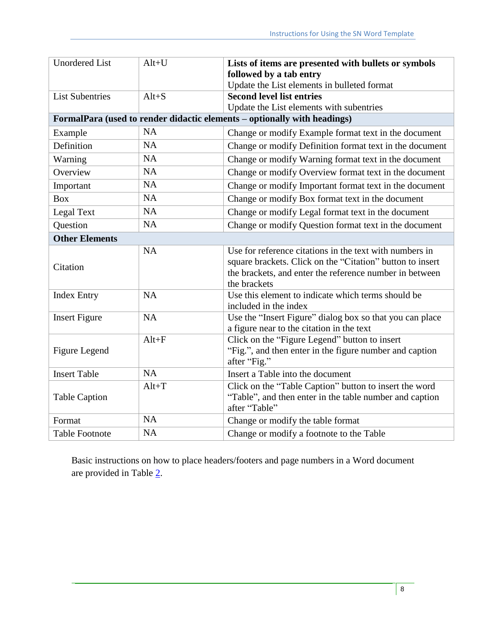| <b>Unordered List</b>  | $Alt+U$   | Lists of items are presented with bullets or symbols                     |
|------------------------|-----------|--------------------------------------------------------------------------|
|                        |           | followed by a tab entry                                                  |
|                        |           | Update the List elements in bulleted format                              |
| <b>List Subentries</b> | $Alt + S$ | <b>Second level list entries</b>                                         |
|                        |           | Update the List elements with subentries                                 |
|                        |           | FormalPara (used to render didactic elements – optionally with headings) |
| Example                | <b>NA</b> | Change or modify Example format text in the document                     |
| Definition             | <b>NA</b> | Change or modify Definition format text in the document                  |
| Warning                | <b>NA</b> | Change or modify Warning format text in the document                     |
| Overview               | <b>NA</b> | Change or modify Overview format text in the document                    |
| Important              | NA        | Change or modify Important format text in the document                   |
| <b>Box</b>             | <b>NA</b> | Change or modify Box format text in the document                         |
| Legal Text             | <b>NA</b> | Change or modify Legal format text in the document                       |
| Question               | NA        | Change or modify Question format text in the document                    |
| <b>Other Elements</b>  |           |                                                                          |
|                        | <b>NA</b> | Use for reference citations in the text with numbers in                  |
| Citation               |           | square brackets. Click on the "Citation" button to insert                |
|                        |           | the brackets, and enter the reference number in between                  |
|                        |           | the brackets                                                             |
| <b>Index Entry</b>     | <b>NA</b> | Use this element to indicate which terms should be                       |
|                        |           | included in the index                                                    |
| <b>Insert Figure</b>   | <b>NA</b> | Use the "Insert Figure" dialog box so that you can place                 |
|                        |           | a figure near to the citation in the text                                |
|                        | $Alt + F$ | Click on the "Figure Legend" button to insert                            |
| <b>Figure Legend</b>   |           | "Fig.", and then enter in the figure number and caption                  |
|                        |           | after "Fig."                                                             |
| <b>Insert Table</b>    | <b>NA</b> | Insert a Table into the document                                         |
|                        | $Alt+T$   | Click on the "Table Caption" button to insert the word                   |
| <b>Table Caption</b>   |           | "Table", and then enter in the table number and caption                  |
|                        |           | after "Table"                                                            |
| Format                 | NA        | Change or modify the table format                                        |
| <b>Table Footnote</b>  | <b>NA</b> | Change or modify a footnote to the Table                                 |

Basic instructions on how to place headers/footers and page numbers in a Word document are provided in Table [2.](#page-8-0)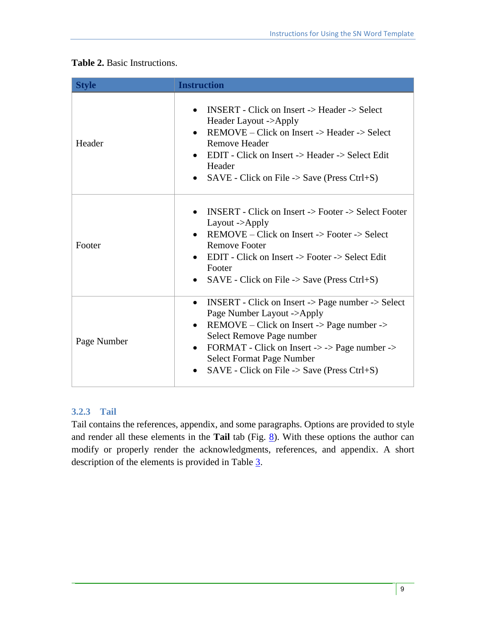| <b>Style</b> | <b>Instruction</b>                                                                                                                                                                                                                                                                                                                           |  |  |
|--------------|----------------------------------------------------------------------------------------------------------------------------------------------------------------------------------------------------------------------------------------------------------------------------------------------------------------------------------------------|--|--|
| Header       | <b>INSERT</b> - Click on Insert -> Header -> Select<br>Header Layout ->Apply<br>REMOVE – Click on Insert -> Header -> Select<br>Remove Header<br>EDIT - Click on Insert -> Header -> Select Edit<br>Header<br>$SAVE$ - Click on File -> Save (Press Ctrl+S)<br>$\bullet$                                                                     |  |  |
| Footer       | <b>INSERT</b> - Click on Insert -> Footer -> Select Footer<br>$\bullet$<br>Layout - $\gt$ Apply<br>$REMOVE - Click on Insert -> Footer -> Select$<br><b>Remove Footer</b><br>EDIT - Click on Insert -> Footer -> Select Edit<br>Footer<br>$SAVE$ - Click on File -> Save (Press Ctrl+S)                                                      |  |  |
| Page Number  | <b>INSERT</b> - Click on Insert -> Page number -> Select<br>$\bullet$<br>Page Number Layout ->Apply<br>REMOVE – Click on Insert -> Page number -><br>$\bullet$<br>Select Remove Page number<br>FORMAT - Click on Insert -> -> Page number -><br>$\bullet$<br><b>Select Format Page Number</b><br>SAVE - Click on File -> Save (Press Ctrl+S) |  |  |

#### <span id="page-8-0"></span>**Table 2.** Basic Instructions.

#### **3.2.3 Tail**

Tail contains the references, appendix, and some paragraphs. Options are provided to style and render all these elements in the **Tail** tab (Fig. [8\)](#page-9-0). With these options the author can modify or properly render the acknowledgments, references, and appendix. A short description of the elements is provided in Table [3.](#page-9-1)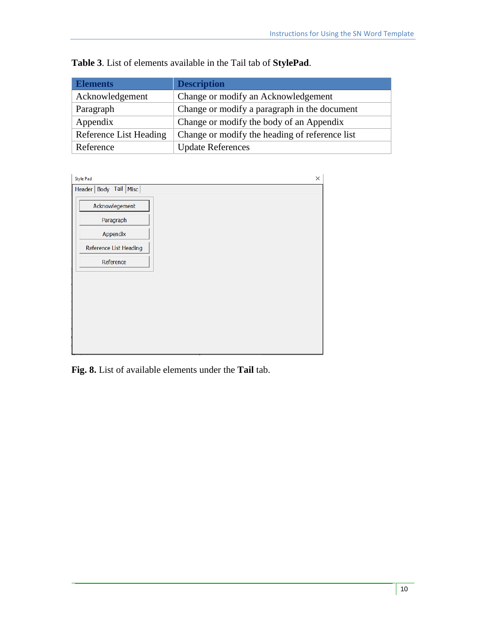| <b>Elements</b>        | <b>Description</b>                             |
|------------------------|------------------------------------------------|
| Acknowledgement        | Change or modify an Acknowledgement            |
| Paragraph              | Change or modify a paragraph in the document   |
| Appendix               | Change or modify the body of an Appendix       |
| Reference List Heading | Change or modify the heading of reference list |
| Reference              | <b>Update References</b>                       |

<span id="page-9-1"></span>**Table 3**. List of elements available in the Tail tab of **StylePad**.



<span id="page-9-0"></span>**Fig. 8.** List of available elements under the **Tail** tab.